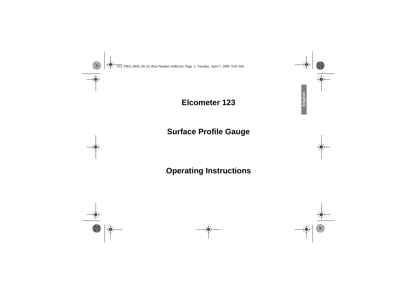## **Elcometer 123**

# **Surface Profile Gauge**

# **Operating Instructions**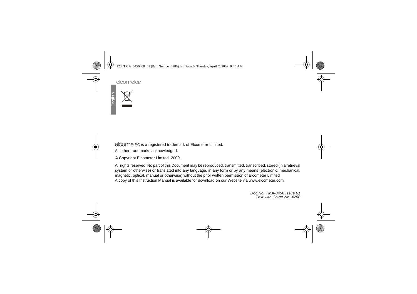## elcometer

elcometer is a registered trademark of Elcometer Limited. All other trademarks acknowledged.

© Copyright Elcometer Limited. 2009.

All rights reserved. No part of this Document may be reproduced, transmitted, transcribed, stored (in a retrieval system or otherwise) or translated into any language, in any form or by any means (electronic, mechanical,magnetic, optical, manual or otherwise) without the prior written permission of Elcometer LimitedA copy of this Instruction Manual is available for download on our Website via www.elcometer.com.

> Doc.No. TMA-0456 Issue 01Text with Cover No: 4280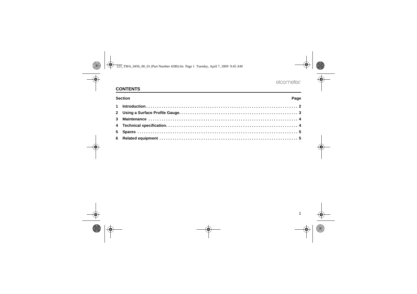## R

## **CONTENTS**

| Section<br>Page |  |
|-----------------|--|
|                 |  |
|                 |  |
|                 |  |
|                 |  |
|                 |  |
|                 |  |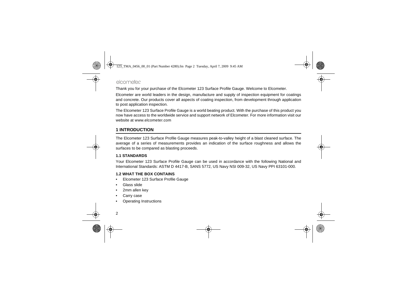## elcometer

Thank you for your purchase of the Elcometer 123 Surface Profile Gauge. Welcome to Elcometer.

Elcometer are world leaders in the design, manufacture and supply of inspection equipment for coatings and concrete. Our products cover all aspects of coating inspection, from development through applicationto post application inspection.

The Elcometer 123 Surface Profile Gauge is a world beating product. With the purchase of this product you now have access to the worldwide service and support network of Elcometer. For more information visit ourwebsite at [www.elcometer.com](http://www.elcometer.com)

## <span id="page-3-0"></span>**1 INTRODUCTION**

The Elcometer 123 Surface Profile Gauge measures peak-to-valley height of a blast cleaned surface. The average of a series of measurements provides an indication of the surface roughness and allows thesurfaces to be compared as blasting proceeds.

### **1.1 STANDARDS**

 Your Elcometer 123 Surface Profile Gauge can be used in accordance with the following National andInternational Standards: ASTM D 4417-B, SANS 5772, US Navy NSI 009-32, US Navy PPI 63101-000.

### **1.2 WHAT THE BOX CONTAINS**

- Elcometer 123 Surface Profile Gauge•
- •Glass slide
- 2mm allen key•
- •Carry case
- Operating Instructions•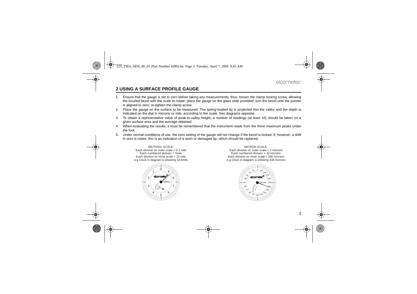## elcometer

## <span id="page-4-0"></span>**2 USING A SURFACE PROFILE GAUGE**

- 1. Ensure that the gauge is set to zero before taking any measurements, thus: loosen the clamp locking screw, allowing the knurled bezel with the scale to rotate; place the gauge on the glass slide provided; turn the bezel until the pointeris aligned to zero; re-tighten the clamp screw.
- 2. Place the gauge on the surface to be measured. The spring-loaded tip is projected into the valley and the depth isindicated on the dial in microns or mils, according to the scale. See diagrams opposite.
- 3. To obtain a representative value of peak-to-valley height, a number of readings (at least 10) should be taken on agiven surface area and the average obtained.
- 4. When evaluating the results, it must be remembered that the instrument reads from the three maximum peaks underthe foot.
- 5. Under normal conditions of use, the zero setting of the gauge will not change if the bezel is locked. If, however, a shift in zero is noted, this is an indication of a worn or damaged tip, which should be replaced.

#### MIL/THOU SCALE. Each division on outer scale = 0.1 milsEach numbered division  $= 1$ mils Each division on inner scale = 10 milse.g Clock in diagram is showing 18.6mils



#### MICRON SCALE.

 Each division on outer scale = 2 microns Each numbered division = 10 microns Each division on inner scale = 200 micronse.g Clock in diagram is showing 338 microns

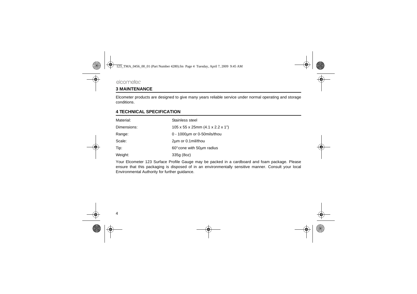## <span id="page-5-0"></span>**3 MAINTENANCE**

Elcometer products are designed to give many years reliable service under normal operating and storageconditions.

## <span id="page-5-1"></span>**4 TECHNICAL SPECIFICATION**

| Material:   | Stainless steel                                          |
|-------------|----------------------------------------------------------|
| Dimensions: | $105 \times 55 \times 25$ mm $(4.1 \times 2.2 \times 1)$ |
| Range:      | $0 - 1000 \mu m$ or 0-50 mils/thou                       |
| Scale:      | 2um or 0.1 mil/thou                                      |
| Tip:        | 60° cone with 50um radius                                |
| Weight:     | 335g (8oz)                                               |

Your Elcometer 123 Surface Profile Gauge may be packed in a cardboard and foam package. Please ensure that this packaging is disposed of in an environmentally sensitive manner. Consult your localEnvironmental Authority for further guidance.